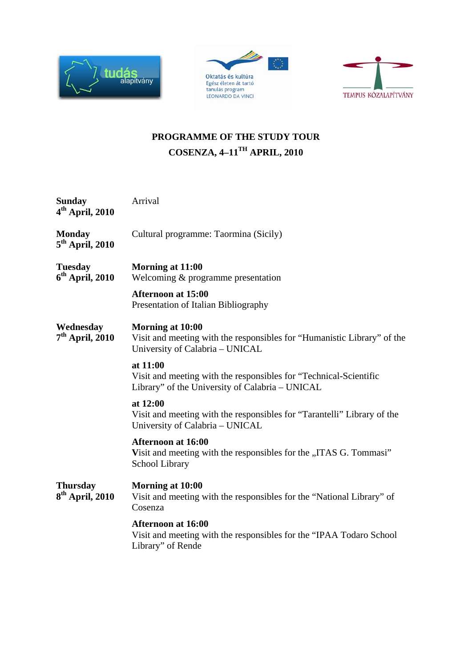





## **PROGRAMME OF THE STUDY TOUR COSENZA, 4–11TH APRIL, 2010**

| Arrival                                                                                                                          |
|----------------------------------------------------------------------------------------------------------------------------------|
| Cultural programme: Taormina (Sicily)                                                                                            |
| Morning at 11:00<br>Welcoming & programme presentation<br><b>Afternoon at 15:00</b><br>Presentation of Italian Bibliography      |
| Morning at 10:00<br>Visit and meeting with the responsibles for "Humanistic Library" of the<br>University of Calabria - UNICAL   |
| at 11:00<br>Visit and meeting with the responsibles for "Technical-Scientific<br>Library" of the University of Calabria - UNICAL |
| at 12:00<br>Visit and meeting with the responsibles for "Tarantelli" Library of the<br>University of Calabria - UNICAL           |
| <b>Afternoon at 16:00</b><br>Visit and meeting with the responsibles for the "ITAS G. Tommasi"<br>School Library                 |
| Morning at 10:00<br>Visit and meeting with the responsibles for the "National Library" of<br>Cosenza                             |
| <b>Afternoon at 16:00</b><br>Visit and meeting with the responsibles for the "IPAA Todaro School<br>Library" of Rende            |
|                                                                                                                                  |